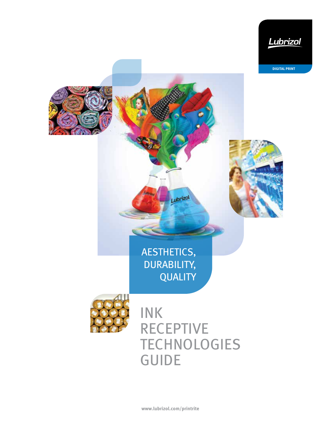

**www.lubrizol.com/printrite**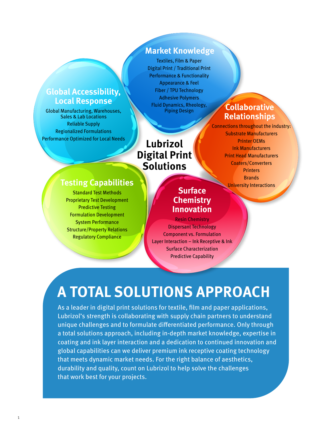### **Global Accessibility, Local Response**

Global Manufacturing, Warehouses, Sales & Lab Locations Reliable Supply Regionalized Formulations Performance Optimized for Local Needs

### **Market Knowledge**

Textiles, Film & Paper Digital Print / Traditional Print Performance & Functionality Appearance & Feel Fiber / TPU Technology Adhesive Polymers Fluid Dynamics, Rheology, Piping Design

# **Lubrizol Digital Print Solutions**

### **Collaborative Relationships**

Connections throughout the industry: Substrate Manufacturers Printer OEMs Ink Manufacturers Print Head Manufacturers Coaters/Converters **Printers Brands** University Interactions

### **Testing Capabilities**

Standard Test Methods Proprietary Test Development Predictive Testing Formulation Development System Performance Structure/Property Relations Regulatory Compliance

### **Surface Chemistry Innovation**

Resin Chemistry Dispersant Technology Component vs. Formulation Layer Interaction – Ink Receptive & Ink Surface Characterization Predictive Capability

# **A TOTAL SOLUTIONS APPROACH**

As a leader in digital print solutions for textile, film and paper applications, Lubrizol's strength is collaborating with supply chain partners to understand unique challenges and to formulate differentiated performance. Only through a total solutions approach, including in-depth market knowledge, expertise in coating and ink layer interaction and a dedication to continued innovation and global capabilities can we deliver premium ink receptive coating technology that meets dynamic market needs. For the right balance of aesthetics, durability and quality, count on Lubrizol to help solve the challenges that work best for your projects.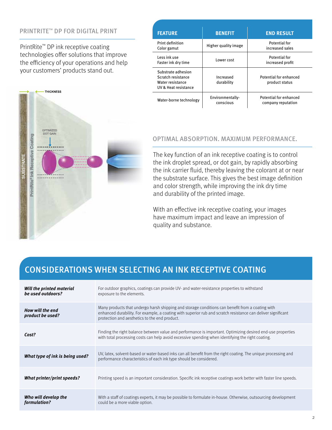#### PRINTRITE™ DP FOR DIGITAL PRINT

PrintRite™ DP ink receptive coating technologies offer solutions that improve the efficiency of your operations and help your customers' products stand out.

|                                  | <b>THICKNESS</b>      |
|----------------------------------|-----------------------|
| PrintRite® Ink Receptive Coating | OPTIMIZED<br>DOT GAIN |
| <b>SUBSTRATE</b>                 | u                     |

| <b>FEATURE</b>                                                                       | <b>BENEFIT</b>                | <b>END RESULT</b>                            |
|--------------------------------------------------------------------------------------|-------------------------------|----------------------------------------------|
| Print definition<br>Color gamut                                                      | Higher quality image          | Potential for<br>increased sales             |
| Less ink use<br>Faster ink dry time                                                  | Lower cost                    | <b>Potential for</b><br>increased profit     |
| Substrate adhesion<br>Scratch resistance<br>Water resistance<br>UV & Heat resistance | Increased<br>durability       | Potential for enhanced<br>product status     |
| Water-borne technology                                                               | Environmentally-<br>conscious | Potential for enhanced<br>company reputation |

#### OPTIMAL ABSORPTION. MAXIMUM PERFORMANCE.

The key function of an ink receptive coating is to control the ink droplet spread, or dot gain, by rapidly absorbing the ink carrier fluid, thereby leaving the colorant at or near the substrate surface. This gives the best image definition and color strength, while improving the ink dry time and durability of the printed image.

With an effective ink receptive coating, your images have maximum impact and leave an impression of quality and substance.

### CONSIDERATIONS WHEN SELECTING AN INK RECEPTIVE COATING

| Will the printed material<br>be used outdoors? | For outdoor graphics, coatings can provide UV- and water-resistance properties to withstand<br>exposure to the elements.                                                                                                                                          |
|------------------------------------------------|-------------------------------------------------------------------------------------------------------------------------------------------------------------------------------------------------------------------------------------------------------------------|
| How will the end<br>product be used?           | Many products that undergo harsh shipping and storage conditions can benefit from a coating with<br>enhanced durability. For example, a coating with superior rub and scratch resistance can deliver significant<br>protection and aesthetics to the end product. |
| Cost?                                          | Finding the right balance between value and performance is important. Optimizing desired end-use properties<br>with total processing costs can help avoid excessive spending when identifying the right coating.                                                  |
| What type of ink is being used?                | UV, latex, solvent-based or water-based inks can all benefit from the right coating. The unique processing and<br>performance characteristics of each ink type should be considered.                                                                              |
| What printer/print speeds?                     | Printing speed is an important consideration. Specific ink receptive coatings work better with faster line speeds.                                                                                                                                                |
| Who will develop the<br>formulation?           | With a staff of coatings experts, it may be possible to formulate in-house. Otherwise, outsourcing development<br>could be a more viable option.                                                                                                                  |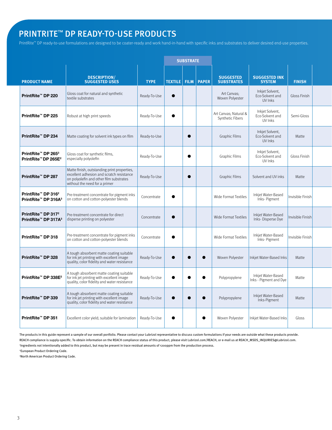## PRINTRITE™ DP READY-TO-USE PRODUCTS

PrintRite™ DP ready-to-use formulations are designed to be coater-ready and work hand-in-hand with specific inks and substrates to deliver desired end-use properties.

|                                                                                           |                                                                                                                                                                      |              |                        | <b>SUBSTRATE</b> |           |                                           |                                               |                                  |
|-------------------------------------------------------------------------------------------|----------------------------------------------------------------------------------------------------------------------------------------------------------------------|--------------|------------------------|------------------|-----------|-------------------------------------------|-----------------------------------------------|----------------------------------|
| <b>PRODUCT NAME</b>                                                                       | <b>DESCRIPTION/</b><br><b>SUGGESTED USES</b>                                                                                                                         | <b>TYPE</b>  | TEXTILE   FILM   PAPER |                  |           | <b>SUGGESTED</b><br><b>SUBSTRATES</b>     | <b>SUGGESTED INK</b><br><b>SYSTEM</b>         | <b>FINISH</b>                    |
| PrintRite <sup>™</sup> DP 220                                                             | Gloss coat for natural and synthetic<br>textile substrates                                                                                                           | Ready-To-Use | $\bullet$              |                  |           | Art Canvas;<br>Woven Polyester            | Inkjet Solvent,<br>Eco-Solvent and<br>UV Inks | Gloss Finish                     |
| PrintRite™ DP 225                                                                         | Robust at high print speeds                                                                                                                                          | Ready-To-Use | $\bullet$              |                  |           | Art Canvas; Natural &<br>Synthetic Fibers | Inkjet Solvent,<br>Eco-Solvent and<br>UV Inks | Semi-Gloss                       |
| PrintRite <sup>™</sup> DP 234                                                             | Matte coating for solvent ink types on film                                                                                                                          | Ready-to-Use |                        | $\bullet$        |           | Graphic Films                             | Inkjet Solvent,<br>Eco-Solvent and<br>UV Inks | Matte                            |
| PrintRite™ DP 265 <sup>3</sup><br>PrintRite™ DP 265E <sup>2</sup>                         | Gloss coat for synthetic films,<br>especially polyolefin                                                                                                             | Ready-To-Use |                        | $\bullet$        |           | Graphic Films                             | Inkjet Solvent,<br>Eco-Solvent and<br>UV Inks | Gloss Finish                     |
| PrintRite <sup>™</sup> DP 287                                                             | Matte finish, outstanding print properties,<br>excellent adhesion and scratch resistance<br>on polyolefin and other film substrates<br>without the need for a primer | Ready-To-Use |                        | $\bullet$        |           | <b>Graphic Films</b>                      | Solvent and UV inks                           | Matte                            |
| PrintRite™ DP 316 <sup>2</sup><br>PrintRite <sup>™</sup> DP 316A <sup>3</sup>             | Pre-treatment concentrate for pigment inks<br>on cotton and cotton-polyester blends                                                                                  | Concentrate  | $\bullet$              |                  |           | Wide Format Textiles                      | Inkjet Water-Based<br>Inks- Pigment           | nvisible Finish                  |
| PrintRite <sup>™</sup> DP 317 <sup>2</sup><br>PrintRite <sup>™</sup> DP 317A <sup>3</sup> | Pre-treatment concentrate for direct<br>disperse printing on polyester                                                                                               | Concentrate  | $\bullet$              |                  |           | Wide Format Textiles                      | Inkjet Water-Based<br>Inks-Disperse Dye       | nvisible Finish                  |
| PrintRite <sup>™</sup> DP 318                                                             | Pre-treatment concentrate for pigment inks<br>on cotton and cotton-polyester blends                                                                                  | Concentrate  | $\bullet$              |                  |           | Wide Format Textiles                      | Inkjet Water-Based<br>Inks-Pigment            | Invisible Finish                 |
| PrintRite™ DP 328                                                                         | A tough absorbent matte coating suitable<br>for ink jet printing with excellent image<br>quality, color fidelity and water resistance                                | Ready-To-Use | $\bullet$              | $\bullet$        | $\bullet$ | Woven Polyester                           |                                               | Matte<br>Inkjet Water-Based Inks |
| PrintRite™ DP 338E <sup>2</sup>                                                           | A tough absorbent matte coating suitable<br>for ink jet printing with excellent image<br>quality, color fidelity and water resistance                                | Ready-To-Use | $\bullet$              | $\bullet$        | $\bullet$ | Polypropylene                             | Inkjet Water-Based<br>Inks - Pigment and Dye  | Matte                            |
| PrintRite™ DP 339                                                                         | A tough absorbent matte coating suitable<br>for ink jet printing with excellent image<br>quality, color fidelity and water resistance                                | Ready-To-Use | $\bullet$              | $\bullet$        | $\bullet$ | Polypropylene                             | Inkjet Water-Based<br>Inks-Pigment            | Matte                            |
| PrintRite <sup>™</sup> DP 351                                                             | Excellent color yield; suitable for lamination   Ready-To-Use                                                                                                        |              | $\bullet$              |                  | $\bullet$ | Woven Polyester                           |                                               | Inkjet Water-Based Inks<br>Gloss |

The products in this guide represent a sample of our overall portfolio. Please contact your Lubrizol representative to discuss custom formulations if your needs are outside what these products provide. REACH compliance is supply-specific. To obtain information on the REACH compliance status of this product, please visit Lubrizol.com/REACH, or e-mail us at REACH\_MSDS\_INQUIRIES@Lubrizol.com. 1 Ingredients not intentionally added to this product, but may be present in trace residual amounts of <200ppm from the production process.

2 European Product Ordering Code.

3 North American Product Ordering Code.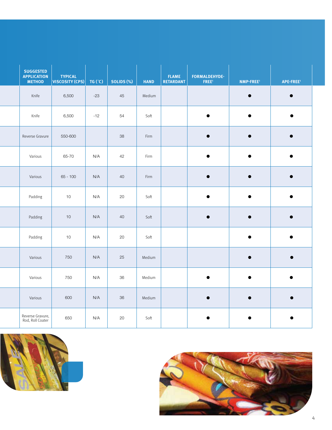| <b>SUGGESTED</b><br><b>APPLICATION</b><br><b>METHOD</b> | <b>TYPICAL</b><br>$\vert$ VISCOSITY (CPS) $\vert$ TG (°C) $\vert$ |       | SOLIDS (%) | <b>HAND</b> | <b>FLAME</b><br><b>RETARDANT</b> | <b>FORMALDEHYDE-</b><br>FREE <sup>1</sup> | NMP-FREE <sup>1</sup> | APE-FREE <sup>1</sup> |  |
|---------------------------------------------------------|-------------------------------------------------------------------|-------|------------|-------------|----------------------------------|-------------------------------------------|-----------------------|-----------------------|--|
| Knife                                                   | 6,500                                                             | $-23$ | 45         | Medium      |                                  |                                           | $\bullet$             | $\bullet$             |  |
| Knife                                                   | 6,500                                                             | $-12$ | 54         | Soft        |                                  | $\bullet$                                 | $\bullet$             | $\bullet$             |  |
| Reverse Gravure                                         | 550-600                                                           |       | 38         | Firm        |                                  | $\bullet$                                 | $\bullet$             | $\bullet$             |  |
| Various                                                 | 65-70                                                             | N/A   | 42         | Firm        |                                  | $\bullet$                                 | $\bullet$             | $\bullet$             |  |
| Various                                                 | $65 - 100$                                                        | N/A   | 40         | Firm        |                                  | $\bullet$                                 | $\bullet$             | $\bullet$             |  |
| Padding                                                 | 10 <sup>°</sup>                                                   | N/A   | 20         | Soft        |                                  | $\bullet$                                 | $\bullet$             | $\bullet$             |  |
| Padding                                                 | 10                                                                | N/A   | 40         | Soft        |                                  | $\bullet$                                 | $\bullet$             | $\bullet$             |  |
| Padding                                                 | 10 <sup>°</sup>                                                   | N/A   | 20         | Soft        |                                  |                                           | $\bullet$             | $\bullet$             |  |
| Various                                                 | 750                                                               | N/A   | 25         | Medium      |                                  |                                           | $\bullet$             | $\bullet$             |  |
| Various                                                 | 750                                                               | N/A   | 36         | Medium      |                                  | $\bullet$                                 | $\bullet$             | $\bullet$             |  |
| Various                                                 | 600                                                               | N/A   | 36         | Medium      |                                  | $\bullet$                                 | $\bullet$             | $\bullet$             |  |
| Reverse Gravure,<br>Rod, Roll Coater                    | 650                                                               | N/A   | 20         | Soft        |                                  | $\bullet$                                 | $\bullet$             | $\bullet$             |  |



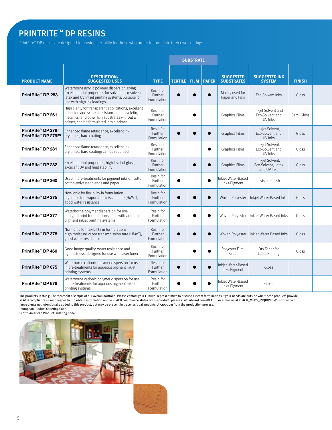# PRINTRITE™ DP RESINS

PrintRite™ DP resins are designed to provide flexibility for those who prefer to formulate their own coatings.

|                                                                               |                                                                                                                                                                                                     |                                     |  |           | <b>SUBSTRATE</b>                |                                       |                                                      |               |  |
|-------------------------------------------------------------------------------|-----------------------------------------------------------------------------------------------------------------------------------------------------------------------------------------------------|-------------------------------------|--|-----------|---------------------------------|---------------------------------------|------------------------------------------------------|---------------|--|
|                                                                               |                                                                                                                                                                                                     |                                     |  |           |                                 |                                       |                                                      |               |  |
| <b>PRODUCT NAME</b>                                                           | <b>DESCRIPTION/</b><br><b>SUGGESTED USES</b>                                                                                                                                                        | <b>TYPE</b>                         |  |           | <b>TEXTILE   FILM   PAPER  </b> | <b>SUGGESTED</b><br><b>SUBSTRATES</b> | <b>SUGGESTED INK</b><br><b>SYSTEM</b>                | <b>FINISH</b> |  |
| PrintRite <sup>™</sup> DP 283                                                 | Waterborne acrylic polymer dispersion giving<br>excellent print properties for solvent, eco-solvent,<br>latex and UV inkjet printing systems. Suitable for<br>use with high ink loadings.           | Resin for<br>Further<br>Formulation |  |           |                                 | Mainly used for<br>Paper and Film     | Eco-Solvent Inks                                     | Gloss         |  |
| PrintRite™ DP 261                                                             | High clarity for transparent applications; excellent<br>adhesion and scratch resistance on polyolefin,<br>metallics, and other film substrates without a<br>primer; can be formulated into a primer | Resin for<br>Further<br>Formulation |  | $\bullet$ |                                 | <b>Graphics Films</b>                 | Inkjet Solvent and<br>Eco-Solvent and<br>UV Inks     | Semi-Gloss    |  |
| PrintRite <sup>™</sup> DP 279 <sup>3</sup><br>PrintRite™ DP 279E <sup>2</sup> | Enhanced flame retardance, excellent ink<br>dry times, hard coating                                                                                                                                 | Resin for<br>Further<br>Formulation |  | $\bullet$ |                                 | <b>Graphics Films</b>                 | Inkjet Solvent,<br>Eco-Solvent and<br>UV Inks        | Gloss         |  |
| PrintRite™ DP 281                                                             | Enhanced flame retardance, excellent ink<br>dry times, hard coating; can be repulped                                                                                                                | Resin for<br>Further<br>Formulation |  |           | $\bullet$                       | <b>Graphics Films</b>                 | Inkjet Solvent,<br>Eco-Solvent and<br>UV Inks        | Gloss         |  |
| PrintRite <sup>™</sup> DP 282                                                 | Excellent print properties, high level of gloss,<br>excellent UV and heat stability                                                                                                                 | Resin for<br>Further<br>Formulation |  | $\bullet$ |                                 | <b>Graphics Films</b>                 | Inkjet Solvent,<br>Eco-Solvent, Latex<br>and UV Inks | Gloss         |  |
| PrintRite™ DP 360                                                             | Used in pre-treatments for pigment inks on cotton,<br>cotton-polyester blends and paper                                                                                                             | Resin for<br>Further<br>Formulation |  |           |                                 | nkjet Water-Based<br>Inks-Pigment     | Invisible finish                                     |               |  |
| PrintRite™ DP 375                                                             | Non-ionic for flexibility in formulation;<br>high moisture vapor transmission rate (HMVT),<br>good water resistance                                                                                 | Resin for<br>Further<br>Formulation |  |           |                                 |                                       | Woven Polyester   Inkjet Water-Based Inks            | Gloss         |  |
| PrintRite™ DP 377                                                             | Waterborne polymer dispersion for use<br>in digital print formulations used with aqueous<br>pigment inkjet printing systems                                                                         | Resin for<br>Further<br>Formulation |  | $\bullet$ |                                 |                                       | Woven Polyester   Inkjet Water Based Inks            | Gloss         |  |
| PrintRite <sup>™</sup> DP 378                                                 | Non-ionic for flexibility in formulation;<br>high moisture vapor transmnission rate (HMVT),<br>good water resistance                                                                                | Resin for<br>Further<br>Formulation |  | $\bullet$ |                                 |                                       | Woven Polyester   Inkjet Water Based Inks            | Gloss         |  |
| PrintRite™ DP 460                                                             | Good image quality, water resistance and<br>lightfastness; designed for use with laser toner                                                                                                        | Resin for<br>Further<br>Formulation |  | $\bullet$ |                                 | Polyester Film,<br>Paper              | Dry Toner for<br><b>Laser Printing</b>               | Gloss         |  |
| PrintRite™ DP 675                                                             | Waterborne cationic polymer dispersion for use<br>in pre-treatments for aqueous pigment inkjet<br>printing systems                                                                                  | Resin for<br>Further<br>Formulation |  |           |                                 | nkjet Water-Based<br>Inks-Pigment     | Gloss                                                |               |  |
| PrintRite™ DP 676                                                             | Waterborne cationic polymer dispersion for use<br>in pre-treatments for aqueous pigment inkjet<br>printing systems                                                                                  | Resin for<br>Further<br>Formulation |  |           |                                 | Inkjet Water-Based<br>Inks-Pigment    | Gloss                                                |               |  |

The products in this guide represent a sample of our overall portfolio. Please contact your Lubrizol representative to discuss custom formulations if your needs are outside what these products provide.<br>REACH compliance is Ingredients not intentionally added to this product, but may be present in trace residual amounts of <200ppm from the production process.

2 European Product Ordering Code.





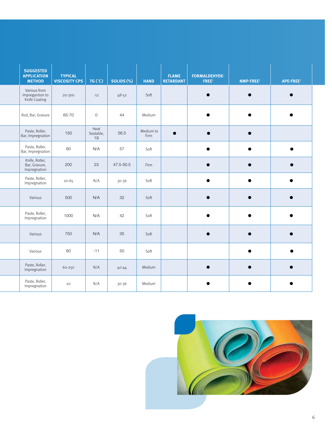| <b>SUGGESTED</b><br><b>APPLICATION</b><br><b>METHOD</b> | <b>TYPICAL</b><br><b>VISCOSITY CPS</b> | TG('C)                  | SOLIDS (%) | <b>HAND</b>       | <b>FLAME</b><br><b>RETARDANT</b> | FORMALDEHYDE-<br>FREE <sup>1</sup> | NMP-FREE <sup>1</sup> | APE-FREE <sup>1</sup> |
|---------------------------------------------------------|----------------------------------------|-------------------------|------------|-------------------|----------------------------------|------------------------------------|-----------------------|-----------------------|
| Various from<br>Impregantion to<br>Knife Coating        | 20-300                                 | $-12$                   | $48 - 52$  | Soft              |                                  | $\bullet$                          | $\bullet$             | $\bullet$             |
| Rod, Bar, Gravure                                       | 65-70                                  | $\mathsf{O}$            | 44         | Medium            |                                  | $\bullet$                          | $\bullet$             | $\bullet$             |
| Paste, Roller,<br>Bar, Impregnation                     | 150                                    | Heat<br>Sealable,<br>19 | 56.5       | Medium to<br>Firm | $\bullet$                        | $\bullet$                          | $\bullet$             |                       |
| Paste, Roller,<br>Bar, Impregnation                     | 60                                     | N/A                     | 57         | Soft              |                                  | $\bullet$                          | $\bullet$             | $\bullet$             |
| Knife, Roller,<br>Bar, Gravure,<br>Impregnation         | 200                                    | 23                      | 47.5-50.5  | Firm              |                                  | $\bullet$                          | $\bullet$             | $\bullet$             |
| Paste, Roller,<br>Impregnation                          | $20 - 65$                              | N/A                     | 30-36      | Soft              |                                  | $\bullet$                          | $\bullet$             | $\bullet$             |
| Various                                                 | 500                                    | N/A                     | 32         | Soft              |                                  | $\bullet$                          | $\bullet$             | $\bullet$             |
| Paste, Roller,<br>Impregnation                          | 1000                                   | N/A                     | 42         | Soft              |                                  | $\bullet$                          | $\bullet$             | $\bullet$             |
| Various                                                 | 750                                    | N/A                     | 35         | Soft              |                                  | $\bullet$                          | $\bullet$             | $\bullet$             |
| Various                                                 | 60                                     | $-11$                   | 50         | Soft              |                                  |                                    | $\bullet$             | $\bullet$             |
| Paste, Roller,<br>Impregnation                          | 60-250                                 | N/A                     | 40-44      | Medium            |                                  | $\bullet$                          | $\bullet$             | $\bullet$             |
| Paste, Roller,<br>Impregnation                          | 20                                     | N/A                     | 30-36      | Medium            |                                  | $\bullet$                          | $\bullet$             |                       |